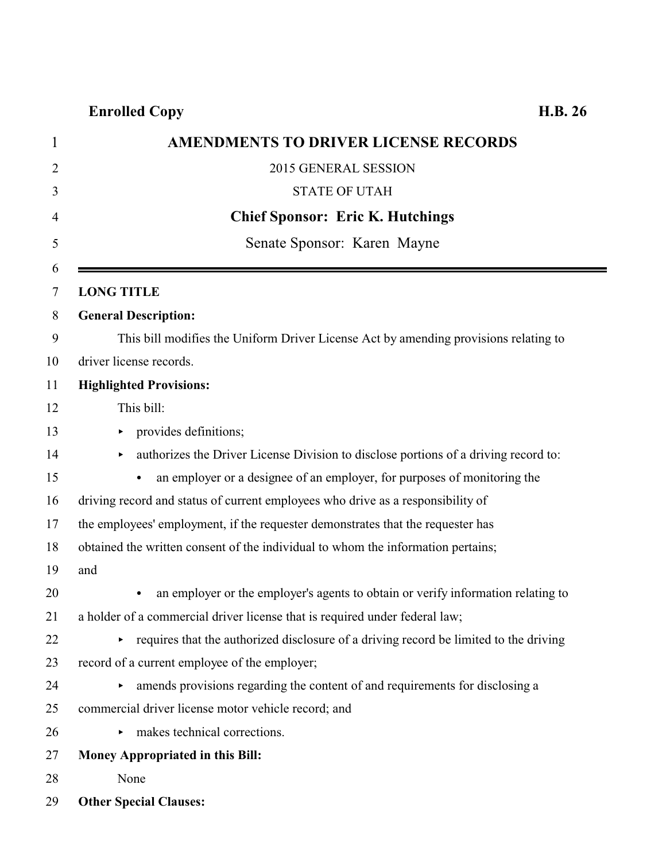| $\mathbf{1}$   | <b>AMENDMENTS TO DRIVER LICENSE RECORDS</b>                                           |
|----------------|---------------------------------------------------------------------------------------|
| 2              | 2015 GENERAL SESSION                                                                  |
| 3              | <b>STATE OF UTAH</b>                                                                  |
| $\overline{4}$ | <b>Chief Sponsor: Eric K. Hutchings</b>                                               |
| 5              | Senate Sponsor: Karen Mayne                                                           |
| 6              |                                                                                       |
| 7              | <b>LONG TITLE</b>                                                                     |
| 8              | <b>General Description:</b>                                                           |
| 9              | This bill modifies the Uniform Driver License Act by amending provisions relating to  |
| 10             | driver license records.                                                               |
| 11             | <b>Highlighted Provisions:</b>                                                        |
| 12             | This bill:                                                                            |
| 13             | provides definitions;                                                                 |
| 14             | authorizes the Driver License Division to disclose portions of a driving record to:   |
| 15             | an employer or a designee of an employer, for purposes of monitoring the<br>$\bullet$ |
| 16             | driving record and status of current employees who drive as a responsibility of       |
| 17             | the employees' employment, if the requester demonstrates that the requester has       |
| 18             | obtained the written consent of the individual to whom the information pertains;      |
| 19             | and                                                                                   |
| 20             | an employer or the employer's agents to obtain or verify information relating to<br>٠ |
| 21             | a holder of a commercial driver license that is required under federal law;           |
| 22             | requires that the authorized disclosure of a driving record be limited to the driving |
| 23             | record of a current employee of the employer;                                         |
| 24             | amends provisions regarding the content of and requirements for disclosing a          |
| 25             | commercial driver license motor vehicle record; and                                   |
| 26             | makes technical corrections.<br>Þ.                                                    |
| 27             | <b>Money Appropriated in this Bill:</b>                                               |
| 28             | None                                                                                  |
| 29             | <b>Other Special Clauses:</b>                                                         |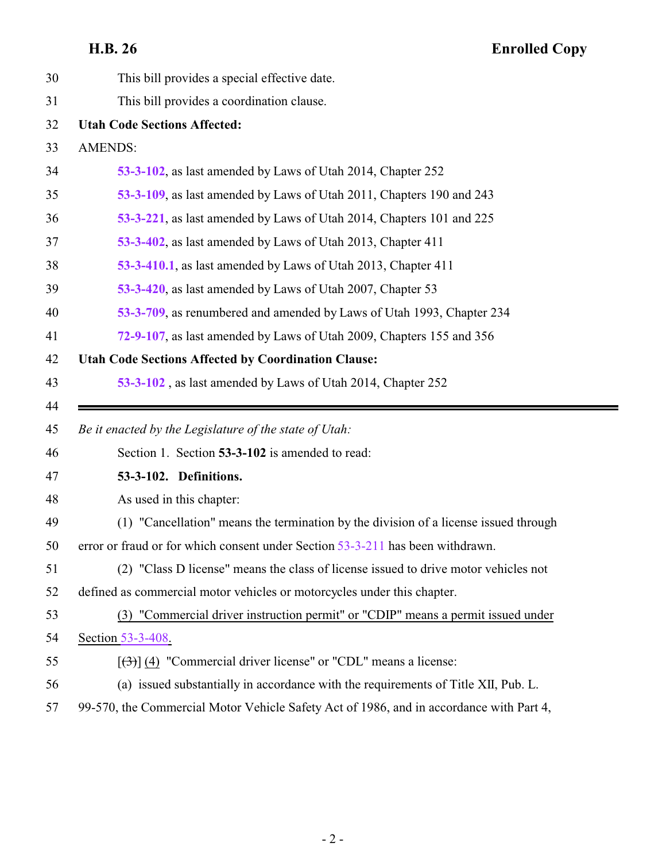<span id="page-1-0"></span>

| 30 | This bill provides a special effective date.                                           |
|----|----------------------------------------------------------------------------------------|
| 31 | This bill provides a coordination clause.                                              |
| 32 | <b>Utah Code Sections Affected:</b>                                                    |
| 33 | <b>AMENDS:</b>                                                                         |
| 34 | 53-3-102, as last amended by Laws of Utah 2014, Chapter 252                            |
| 35 | 53-3-109, as last amended by Laws of Utah 2011, Chapters 190 and 243                   |
| 36 | 53-3-221, as last amended by Laws of Utah 2014, Chapters 101 and 225                   |
| 37 | 53-3-402, as last amended by Laws of Utah 2013, Chapter 411                            |
| 38 | 53-3-410.1, as last amended by Laws of Utah 2013, Chapter 411                          |
| 39 | 53-3-420, as last amended by Laws of Utah 2007, Chapter 53                             |
| 40 | 53-3-709, as renumbered and amended by Laws of Utah 1993, Chapter 234                  |
| 41 | 72-9-107, as last amended by Laws of Utah 2009, Chapters 155 and 356                   |
| 42 | <b>Utah Code Sections Affected by Coordination Clause:</b>                             |
| 43 | 53-3-102, as last amended by Laws of Utah 2014, Chapter 252                            |
|    |                                                                                        |
| 44 |                                                                                        |
| 45 | Be it enacted by the Legislature of the state of Utah:                                 |
| 46 | Section 1. Section 53-3-102 is amended to read:                                        |
| 47 | 53-3-102. Definitions.                                                                 |
| 48 | As used in this chapter:                                                               |
| 49 | (1) "Cancellation" means the termination by the division of a license issued through   |
| 50 | error or fraud or for which consent under Section 53-3-211 has been withdrawn.         |
| 51 | (2) "Class D license" means the class of license issued to drive motor vehicles not    |
| 52 | defined as commercial motor vehicles or motorcycles under this chapter.                |
| 53 | (3) "Commercial driver instruction permit" or "CDIP" means a permit issued under       |
| 54 | Section 53-3-408.                                                                      |
| 55 | $[\left(\frac{1}{2}\right)]$ (4) "Commercial driver license" or "CDL" means a license: |
| 56 | (a) issued substantially in accordance with the requirements of Title XII, Pub. L.     |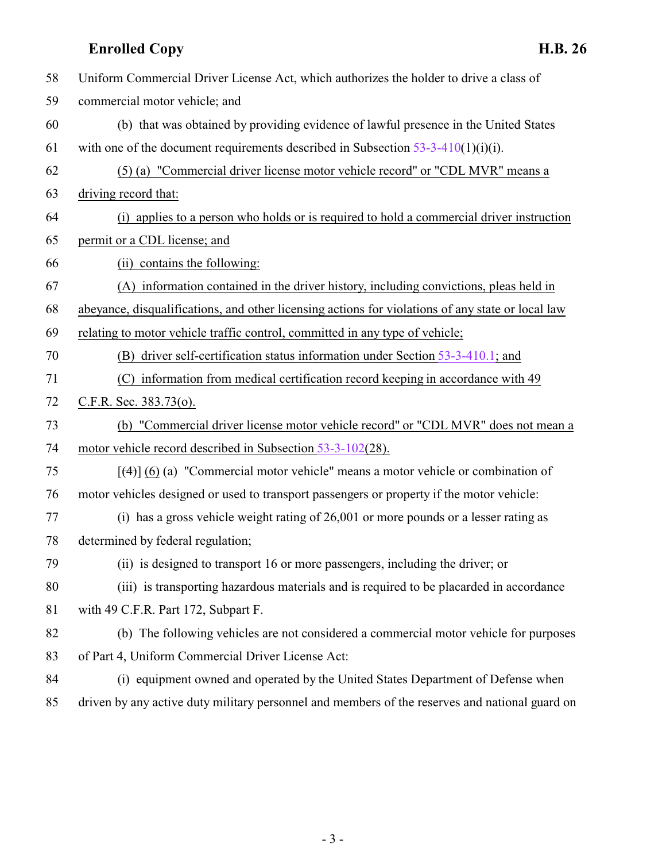**Enrolled Copy H.B. 26** Uniform Commercial Driver License Act, which authorizes the holder to drive a class of commercial motor vehicle; and (b) that was obtained by providing evidence of lawful presence in the United States 61 with one of the document requirements described in Subsection  $53-3-410(1)(i)(i)$ . (5) (a) "Commercial driver license motor vehicle record" or "CDL MVR" means a driving record that: (i) applies to a person who holds or is required to hold a commercial driver instruction permit or a CDL license; and (ii) contains the following: (A) information contained in the driver history, including convictions, pleas held in abeyance, disqualifications, and other licensing actions for violations of any state or local law relating to motor vehicle traffic control, committed in any type of vehicle; (B) driver self-certification status information under Section [53-3-410.1](#page-22-0); and (C) information from medical certification record keeping in accordance with 49 C.F.R. Sec. 383.73(o). (b) "Commercial driver license motor vehicle record" or "CDL MVR" does not mean a 74 motor vehicle record described in Subsection [53-3-102](#page-1-0)(28). [(4)] (6) (a) "Commercial motor vehicle" means a motor vehicle or combination of motor vehicles designed or used to transport passengers or property if the motor vehicle: (i) has a gross vehicle weight rating of 26,001 or more pounds or a lesser rating as determined by federal regulation; (ii) is designed to transport 16 or more passengers, including the driver; or (iii) is transporting hazardous materials and is required to be placarded in accordance with 49 C.F.R. Part 172, Subpart F. (b) The following vehicles are not considered a commercial motor vehicle for purposes of Part 4, Uniform Commercial Driver License Act: (i) equipment owned and operated by the United States Department of Defense when driven by any active duty military personnel and members of the reserves and national guard on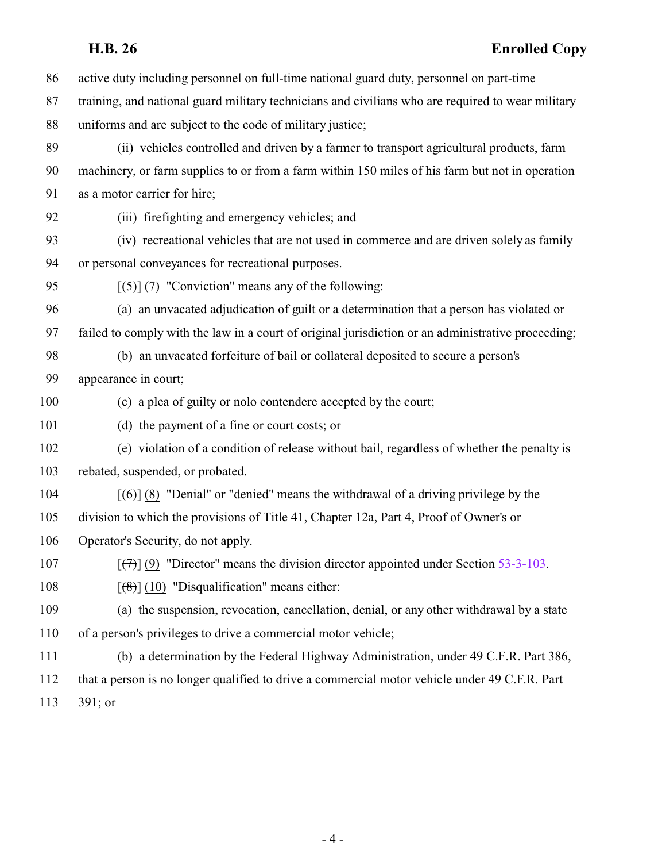| 86  | active duty including personnel on full-time national guard duty, personnel on part-time                    |
|-----|-------------------------------------------------------------------------------------------------------------|
| 87  | training, and national guard military technicians and civilians who are required to wear military           |
| 88  | uniforms and are subject to the code of military justice;                                                   |
| 89  | (ii) vehicles controlled and driven by a farmer to transport agricultural products, farm                    |
| 90  | machinery, or farm supplies to or from a farm within 150 miles of his farm but not in operation             |
| 91  | as a motor carrier for hire;                                                                                |
| 92  | (iii) firefighting and emergency vehicles; and                                                              |
| 93  | (iv) recreational vehicles that are not used in commerce and are driven solely as family                    |
| 94  | or personal conveyances for recreational purposes.                                                          |
| 95  | $[\frac{1}{5}]$ (7) "Conviction" means any of the following:                                                |
| 96  | (a) an unvacated adjudication of guilt or a determination that a person has violated or                     |
| 97  | failed to comply with the law in a court of original jurisdiction or an administrative proceeding;          |
| 98  | (b) an unvacated forfeiture of bail or collateral deposited to secure a person's                            |
| 99  | appearance in court;                                                                                        |
| 100 | (c) a plea of guilty or nolo contendere accepted by the court;                                              |
| 101 | (d) the payment of a fine or court costs; or                                                                |
| 102 | (e) violation of a condition of release without bail, regardless of whether the penalty is                  |
| 103 | rebated, suspended, or probated.                                                                            |
| 104 | $[66]$ (8) "Denial" or "denied" means the withdrawal of a driving privilege by the                          |
| 105 | division to which the provisions of Title 41, Chapter 12a, Part 4, Proof of Owner's or                      |
| 106 | Operator's Security, do not apply.                                                                          |
| 107 | $[\langle \hat{\tau} \rangle]$ (9) "Director" means the division director appointed under Section 53-3-103. |
| 108 | $[$ (48)] (10) "Disqualification" means either:                                                             |
| 109 | (a) the suspension, revocation, cancellation, denial, or any other withdrawal by a state                    |
| 110 | of a person's privileges to drive a commercial motor vehicle;                                               |
| 111 | (b) a determination by the Federal Highway Administration, under 49 C.F.R. Part 386,                        |
| 112 | that a person is no longer qualified to drive a commercial motor vehicle under 49 C.F.R. Part               |
| 113 | $391;$ or                                                                                                   |
|     |                                                                                                             |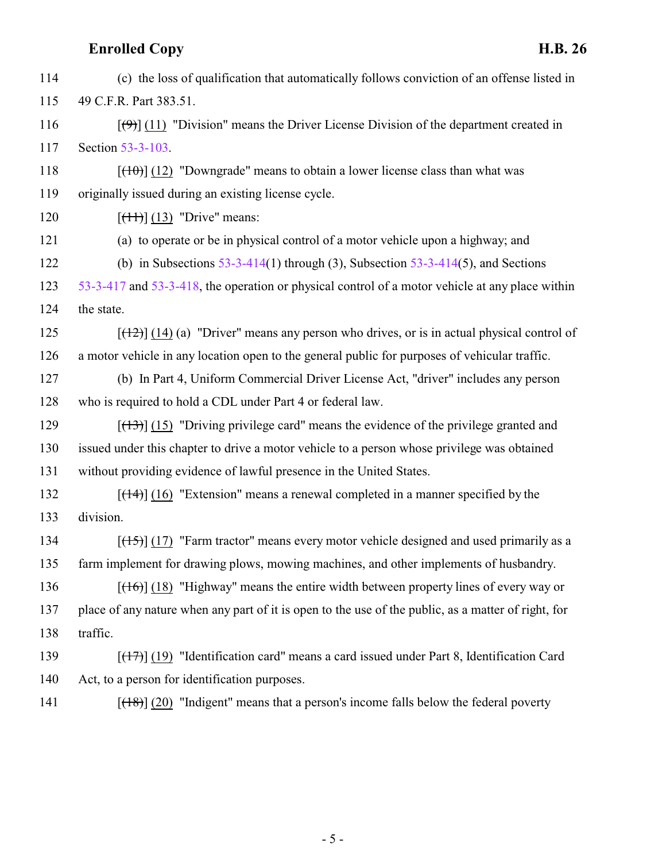(c) the loss of qualification that automatically follows conviction of an offense listed in 49 C.F.R. Part 383.51.  $[(9)$ ] (11) "Division" means the Driver License Division of the department created in Section [53-3-103](http://le.utah.gov/UtahCode/SectionLookup.jsp?section=53-3-103&session=2015GS).  $[(10)(12)$  "Downgrade" means to obtain a lower license class than what was originally issued during an existing license cycle.  $[(11)(13)$  "Drive" means: (a) to operate or be in physical control of a motor vehicle upon a highway; and (b) in Subsections [53-3-414](http://le.utah.gov/UtahCode/SectionLookup.jsp?section=53-3-414&session=2015GS)(1) through (3), Subsection [53-3-414](http://le.utah.gov/UtahCode/SectionLookup.jsp?section=53-3-414&session=2015GS)(5), and Sections [53-3-417](http://le.utah.gov/UtahCode/SectionLookup.jsp?section=53-3-417&session=2015GS) and [53-3-418](http://le.utah.gov/UtahCode/SectionLookup.jsp?section=53-3-418&session=2015GS), the operation or physical control of a motor vehicle at any place within the state.  $[(12)(14)(a)$  "Driver" means any person who drives, or is in actual physical control of a motor vehicle in any location open to the general public for purposes of vehicular traffic. (b) In Part 4, Uniform Commercial Driver License Act, "driver" includes any person who is required to hold a CDL under Part 4 or federal law.  $[(13)]$  (15) "Driving privilege card" means the evidence of the privilege granted and issued under this chapter to drive a motor vehicle to a person whose privilege was obtained without providing evidence of lawful presence in the United States. [(14)] (16) "Extension" means a renewal completed in a manner specified by the division.  $[(15)]$  (17) "Farm tractor" means every motor vehicle designed and used primarily as a farm implement for drawing plows, mowing machines, and other implements of husbandry. 136 [(16)] (18) "Highway" means the entire width between property lines of every way or place of any nature when any part of it is open to the use of the public, as a matter of right, for traffic. [(17)] (19) "Identification card" means a card issued under Part 8, Identification Card Act, to a person for identification purposes.

141  $[(18)]$  (20) "Indigent" means that a person's income falls below the federal poverty

- 5 -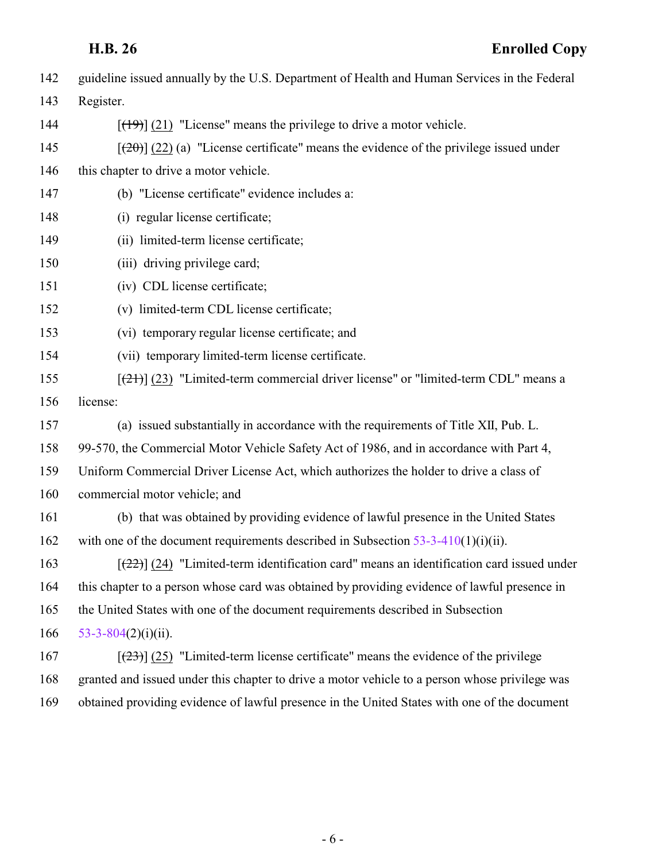| 142 | guideline issued annually by the U.S. Department of Health and Human Services in the Federal     |
|-----|--------------------------------------------------------------------------------------------------|
| 143 | Register.                                                                                        |
| 144 | $[$ (49) $]$ (21) "License" means the privilege to drive a motor vehicle.                        |
| 145 | $[\frac{1}{20}]$ (22) (a) "License certificate" means the evidence of the privilege issued under |
| 146 | this chapter to drive a motor vehicle.                                                           |
| 147 | (b) "License certificate" evidence includes a:                                                   |
| 148 | (i) regular license certificate;                                                                 |
| 149 | (ii) limited-term license certificate;                                                           |
| 150 | (iii) driving privilege card;                                                                    |
| 151 | (iv) CDL license certificate;                                                                    |
| 152 | (v) limited-term CDL license certificate;                                                        |
| 153 | (vi) temporary regular license certificate; and                                                  |
| 154 | (vii) temporary limited-term license certificate.                                                |
| 155 | $[21]$ (23) "Limited-term commercial driver license" or "limited-term CDL" means a               |
| 156 | license:                                                                                         |
| 157 | (a) issued substantially in accordance with the requirements of Title XII, Pub. L.               |
| 158 | 99-570, the Commercial Motor Vehicle Safety Act of 1986, and in accordance with Part 4,          |
| 159 | Uniform Commercial Driver License Act, which authorizes the holder to drive a class of           |
| 160 | commercial motor vehicle; and                                                                    |
| 161 | (b) that was obtained by providing evidence of lawful presence in the United States              |
| 162 | with one of the document requirements described in Subsection $53-3-410(1)(i)(ii)$ .             |
| 163 | $[22]$ (24) "Limited-term identification card" means an identification card issued under         |
| 164 | this chapter to a person whose card was obtained by providing evidence of lawful presence in     |
| 165 | the United States with one of the document requirements described in Subsection                  |
| 166 | $53-3-804(2)(i)(ii)$ .                                                                           |
| 167 | $[23]$ (25) "Limited-term license certificate" means the evidence of the privilege               |
| 168 | granted and issued under this chapter to drive a motor vehicle to a person whose privilege was   |
| 169 | obtained providing evidence of lawful presence in the United States with one of the document     |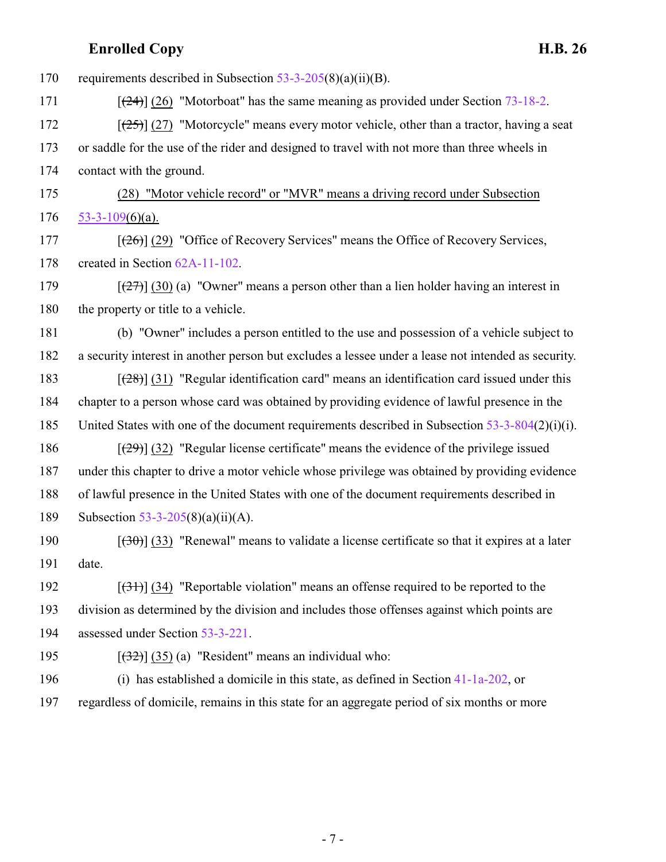| 170 | requirements described in Subsection $53-3-205(8)(a)(ii)(B)$ .                                      |
|-----|-----------------------------------------------------------------------------------------------------|
| 171 | $[24]$ (26) "Motorboat" has the same meaning as provided under Section 73-18-2.                     |
| 172 | $[25]$ (27) "Motorcycle" means every motor vehicle, other than a tractor, having a seat             |
| 173 | or saddle for the use of the rider and designed to travel with not more than three wheels in        |
| 174 | contact with the ground.                                                                            |
| 175 | (28) "Motor vehicle record" or "MVR" means a driving record under Subsection                        |
| 176 | $53-3-109(6)(a)$ .                                                                                  |
| 177 | $[26]$ (29) "Office of Recovery Services" means the Office of Recovery Services,                    |
| 178 | created in Section 62A-11-102.                                                                      |
| 179 | $[\frac{27}{27}]$ (30) (a) "Owner" means a person other than a lien holder having an interest in    |
| 180 | the property or title to a vehicle.                                                                 |
| 181 | (b) "Owner" includes a person entitled to the use and possession of a vehicle subject to            |
| 182 | a security interest in another person but excludes a lessee under a lease not intended as security. |
| 183 | $[28]$ (31) "Regular identification card" means an identification card issued under this            |
| 184 | chapter to a person whose card was obtained by providing evidence of lawful presence in the         |
| 185 | United States with one of the document requirements described in Subsection $53-3-804(2)(i)(i)$ .   |
| 186 | $[29]$ (32) "Regular license certificate" means the evidence of the privilege issued                |
| 187 | under this chapter to drive a motor vehicle whose privilege was obtained by providing evidence      |
| 188 | of lawful presence in the United States with one of the document requirements described in          |
| 189 | Subsection 53-3-205(8)(a)(ii)(A).                                                                   |
| 190 | $[30(33)]$ "Renewal" means to validate a license certificate so that it expires at a later          |
| 191 | date.                                                                                               |
| 192 | $[34]$ (34) "Reportable violation" means an offense required to be reported to the                  |
| 193 | division as determined by the division and includes those offenses against which points are         |
| 194 | assessed under Section 53-3-221.                                                                    |
| 195 | $[32]$ (35) (a) "Resident" means an individual who:                                                 |
| 196 | (i) has established a domicile in this state, as defined in Section $41-1a-202$ , or                |
| 197 | regardless of domicile, remains in this state for an aggregate period of six months or more         |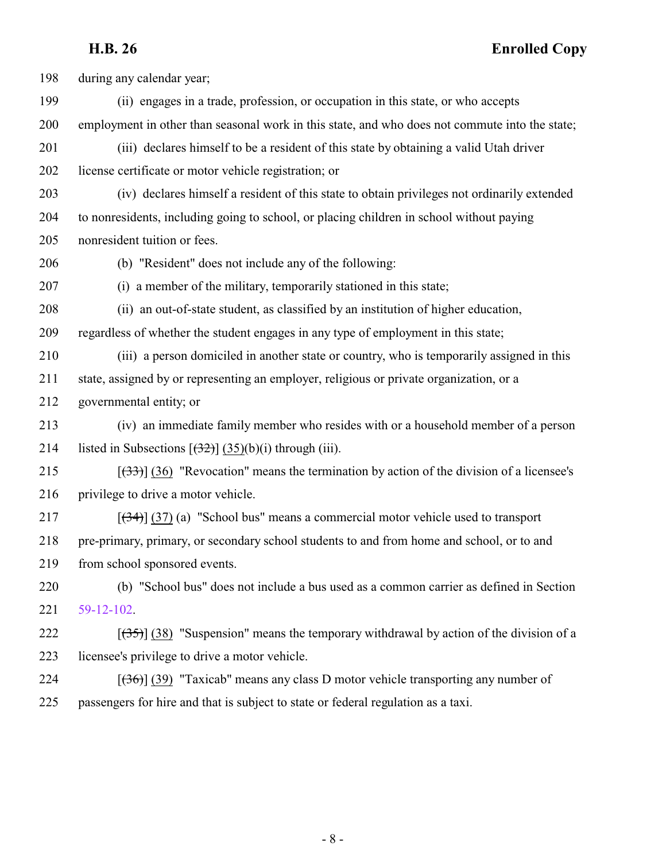during any calendar year; (ii) engages in a trade, profession, or occupation in this state, or who accepts employment in other than seasonal work in this state, and who does not commute into the state; (iii) declares himself to be a resident of this state by obtaining a valid Utah driver license certificate or motor vehicle registration; or (iv) declares himself a resident of this state to obtain privileges not ordinarily extended to nonresidents, including going to school, or placing children in school without paying nonresident tuition or fees. (b) "Resident" does not include any of the following: (i) a member of the military, temporarily stationed in this state; (ii) an out-of-state student, as classified by an institution of higher education, regardless of whether the student engages in any type of employment in this state; (iii) a person domiciled in another state or country, who is temporarily assigned in this state, assigned by or representing an employer, religious or private organization, or a governmental entity; or (iv) an immediate family member who resides with or a household member of a person 214 listed in Subsections  $[32\pi]$  (35)(b)(i) through (iii).  $\left[\left(33\right)\right]$  (36) "Revocation" means the termination by action of the division of a licensee's privilege to drive a motor vehicle. [(34)] (37) (a) "School bus" means a commercial motor vehicle used to transport pre-primary, primary, or secondary school students to and from home and school, or to and from school sponsored events. (b) "School bus" does not include a bus used as a common carrier as defined in Section [59-12-102](http://le.utah.gov/UtahCode/SectionLookup.jsp?section=59-12-102&session=2015GS).  $\left[\left(35\right)\right]$  (38) "Suspension" means the temporary withdrawal by action of the division of a licensee's privilege to drive a motor vehicle.  $\left[\left(36\right)\right]$  (39) "Taxicab" means any class D motor vehicle transporting any number of passengers for hire and that is subject to state or federal regulation as a taxi.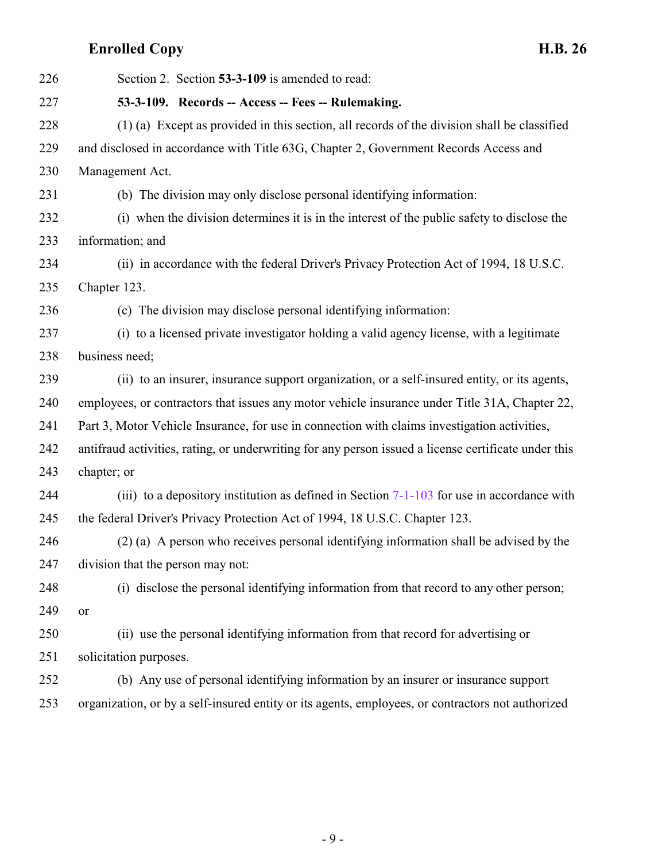<span id="page-8-0"></span>

| 226 | Section 2. Section 53-3-109 is amended to read:                                                      |
|-----|------------------------------------------------------------------------------------------------------|
| 227 | 53-3-109. Records -- Access -- Fees -- Rulemaking.                                                   |
| 228 | (1) (a) Except as provided in this section, all records of the division shall be classified          |
| 229 | and disclosed in accordance with Title 63G, Chapter 2, Government Records Access and                 |
| 230 | Management Act.                                                                                      |
| 231 | (b) The division may only disclose personal identifying information:                                 |
| 232 | (i) when the division determines it is in the interest of the public safety to disclose the          |
| 233 | information; and                                                                                     |
| 234 | (ii) in accordance with the federal Driver's Privacy Protection Act of 1994, 18 U.S.C.               |
| 235 | Chapter 123.                                                                                         |
| 236 | (c) The division may disclose personal identifying information:                                      |
| 237 | (i) to a licensed private investigator holding a valid agency license, with a legitimate             |
| 238 | business need;                                                                                       |
| 239 | (ii) to an insurer, insurance support organization, or a self-insured entity, or its agents,         |
| 240 | employees, or contractors that issues any motor vehicle insurance under Title 31A, Chapter 22,       |
| 241 | Part 3, Motor Vehicle Insurance, for use in connection with claims investigation activities,         |
| 242 | antifraud activities, rating, or underwriting for any person issued a license certificate under this |
| 243 | chapter; or                                                                                          |
| 244 | (iii) to a depository institution as defined in Section $7-1-103$ for use in accordance with         |
| 245 | the federal Driver's Privacy Protection Act of 1994, 18 U.S.C. Chapter 123.                          |
| 246 | (2) (a) A person who receives personal identifying information shall be advised by the               |
| 247 | division that the person may not:                                                                    |
| 248 | (i) disclose the personal identifying information from that record to any other person;              |
| 249 | or                                                                                                   |
| 250 | (ii) use the personal identifying information from that record for advertising or                    |
| 251 | solicitation purposes.                                                                               |
| 252 | (b) Any use of personal identifying information by an insurer or insurance support                   |
| 253 | organization, or by a self-insured entity or its agents, employees, or contractors not authorized    |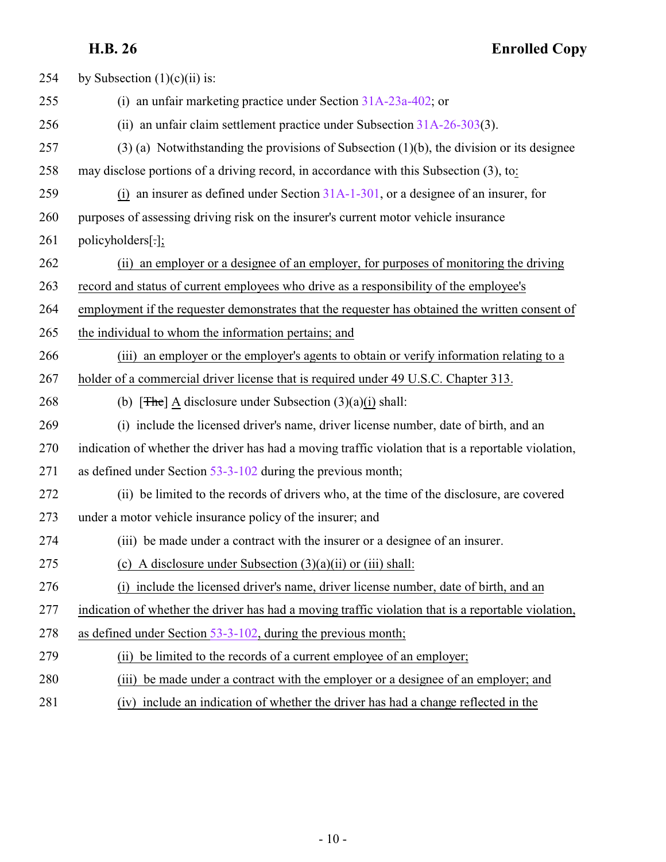| 254 | by Subsection $(1)(c)(ii)$ is:                                                                      |
|-----|-----------------------------------------------------------------------------------------------------|
| 255 | (i) an unfair marketing practice under Section $31A-23a-402$ ; or                                   |
| 256 | (ii) an unfair claim settlement practice under Subsection $31A-26-303(3)$ .                         |
| 257 | $(3)$ (a) Notwithstanding the provisions of Subsection (1)(b), the division or its designee         |
| 258 | may disclose portions of a driving record, in accordance with this Subsection (3), to:              |
| 259 | (i) an insurer as defined under Section $31A-1-301$ , or a designee of an insurer, for              |
| 260 | purposes of assessing driving risk on the insurer's current motor vehicle insurance                 |
| 261 | policyholders[.];                                                                                   |
| 262 | (ii) an employer or a designee of an employer, for purposes of monitoring the driving               |
| 263 | record and status of current employees who drive as a responsibility of the employee's              |
| 264 | employment if the requester demonstrates that the requester has obtained the written consent of     |
| 265 | the individual to whom the information pertains; and                                                |
| 266 | (iii) an employer or the employer's agents to obtain or verify information relating to a            |
| 267 | holder of a commercial driver license that is required under 49 U.S.C. Chapter 313.                 |
| 268 | (b) $[The] A discharge under Subsection (3)(a)(i) shall:$                                           |
| 269 | (i) include the licensed driver's name, driver license number, date of birth, and an                |
| 270 | indication of whether the driver has had a moving traffic violation that is a reportable violation, |
| 271 | as defined under Section $53-3-102$ during the previous month;                                      |
| 272 | (ii) be limited to the records of drivers who, at the time of the disclosure, are covered           |
| 273 | under a motor vehicle insurance policy of the insurer; and                                          |
| 274 | (iii) be made under a contract with the insurer or a designee of an insurer.                        |
| 275 | (c) A disclosure under Subsection $(3)(a)(ii)$ or $(iii)$ shall:                                    |
| 276 | (i) include the licensed driver's name, driver license number, date of birth, and an                |
| 277 | indication of whether the driver has had a moving traffic violation that is a reportable violation, |
| 278 | as defined under Section 53-3-102, during the previous month;                                       |
| 279 | be limited to the records of a current employee of an employer;<br>(ii)                             |
| 280 | be made under a contract with the employer or a designee of an employer; and<br>(iii)               |
| 281 | include an indication of whether the driver has had a change reflected in the<br>(iv)               |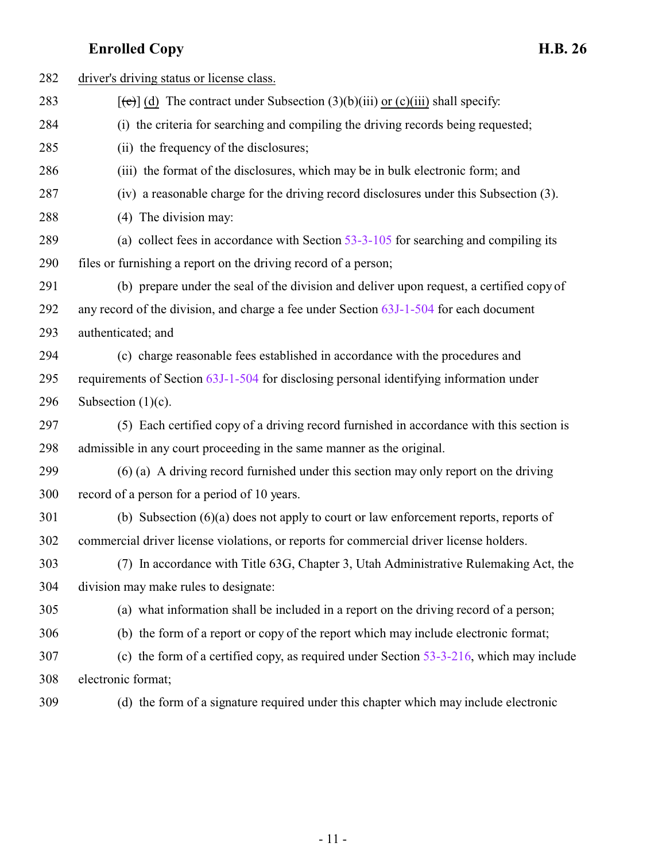| 282 | driver's driving status or license class.                                                         |
|-----|---------------------------------------------------------------------------------------------------|
| 283 | $[\text{e}^{-\text{e}}]$ (d) The contract under Subsection (3)(b)(iii) or (c)(iii) shall specify: |
| 284 | (i) the criteria for searching and compiling the driving records being requested;                 |
| 285 | (ii) the frequency of the disclosures;                                                            |
| 286 | (iii) the format of the disclosures, which may be in bulk electronic form; and                    |
| 287 | (iv) a reasonable charge for the driving record disclosures under this Subsection (3).            |
| 288 | (4) The division may:                                                                             |
| 289 | (a) collect fees in accordance with Section $53-3-105$ for searching and compiling its            |
| 290 | files or furnishing a report on the driving record of a person;                                   |
| 291 | (b) prepare under the seal of the division and deliver upon request, a certified copy of          |
| 292 | any record of the division, and charge a fee under Section 63J-1-504 for each document            |
| 293 | authenticated; and                                                                                |
| 294 | (c) charge reasonable fees established in accordance with the procedures and                      |
| 295 | requirements of Section 63J-1-504 for disclosing personal identifying information under           |
| 296 | Subsection $(1)(c)$ .                                                                             |
| 297 | (5) Each certified copy of a driving record furnished in accordance with this section is          |
| 298 | admissible in any court proceeding in the same manner as the original.                            |
| 299 | (6) (a) A driving record furnished under this section may only report on the driving              |
| 300 | record of a person for a period of 10 years.                                                      |
| 301 | (b) Subsection $(6)(a)$ does not apply to court or law enforcement reports, reports of            |
| 302 | commercial driver license violations, or reports for commercial driver license holders.           |
| 303 | (7) In accordance with Title 63G, Chapter 3, Utah Administrative Rulemaking Act, the              |
| 304 | division may make rules to designate:                                                             |
| 305 | (a) what information shall be included in a report on the driving record of a person;             |
| 306 | (b) the form of a report or copy of the report which may include electronic format;               |
| 307 | (c) the form of a certified copy, as required under Section $53-3-216$ , which may include        |
| 308 | electronic format;                                                                                |
| 309 | (d) the form of a signature required under this chapter which may include electronic              |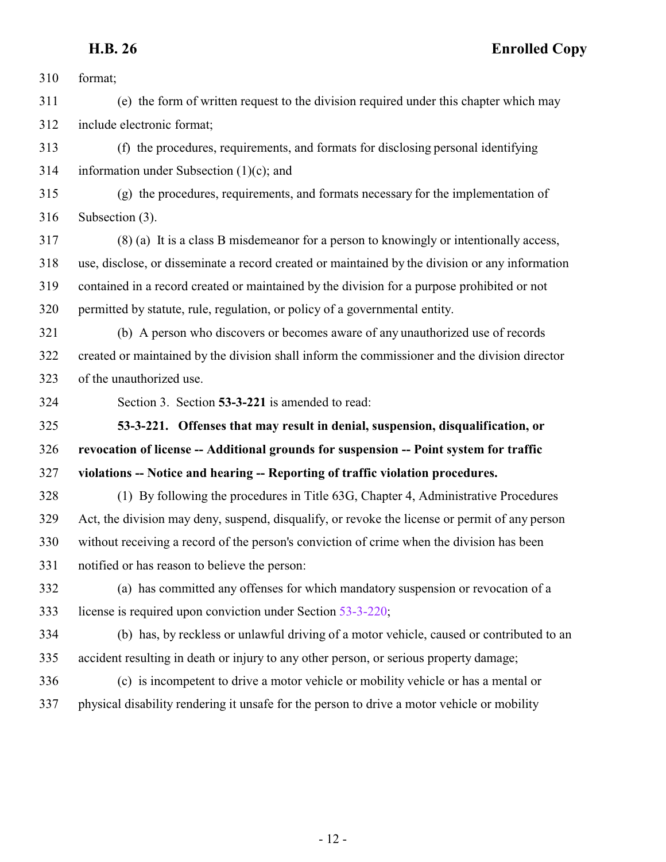format;

 (e) the form of written request to the division required under this chapter which may include electronic format;

 (f) the procedures, requirements, and formats for disclosing personal identifying information under Subsection (1)(c); and

 (g) the procedures, requirements, and formats necessary for the implementation of Subsection (3).

 (8) (a) It is a class B misdemeanor for a person to knowingly or intentionally access, use, disclose, or disseminate a record created or maintained by the division or any information contained in a record created or maintained by the division for a purpose prohibited or not permitted by statute, rule, regulation, or policy of a governmental entity.

 (b) A person who discovers or becomes aware of any unauthorized use of records created or maintained by the division shall inform the commissioner and the division director of the unauthorized use.

<span id="page-11-0"></span>

Section 3. Section **53-3-221** is amended to read:

 **53-3-221. Offenses that may result in denial, suspension, disqualification, or revocation of license -- Additional grounds for suspension -- Point system for traffic**

**violations -- Notice and hearing -- Reporting of traffic violation procedures.**

 (1) By following the procedures in Title 63G, Chapter 4, Administrative Procedures Act, the division may deny, suspend, disqualify, or revoke the license or permit of any person without receiving a record of the person's conviction of crime when the division has been notified or has reason to believe the person:

 (a) has committed any offenses for which mandatory suspension or revocation of a license is required upon conviction under Section [53-3-220](http://le.utah.gov/UtahCode/SectionLookup.jsp?section=53-3-220&session=2015GS);

 (b) has, by reckless or unlawful driving of a motor vehicle, caused or contributed to an accident resulting in death or injury to any other person, or serious property damage;

 (c) is incompetent to drive a motor vehicle or mobility vehicle or has a mental or physical disability rendering it unsafe for the person to drive a motor vehicle or mobility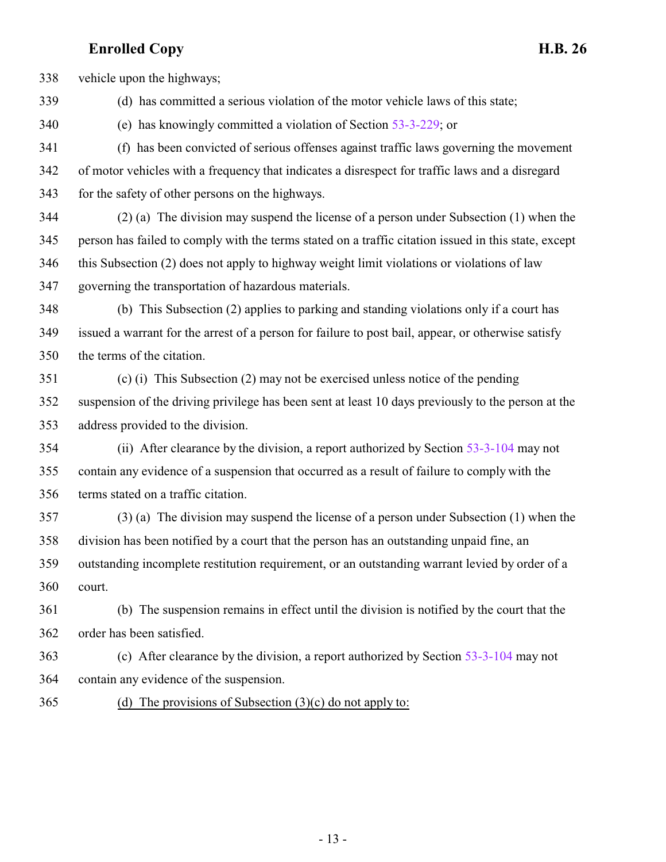vehicle upon the highways;

(d) has committed a serious violation of the motor vehicle laws of this state;

(e) has knowingly committed a violation of Section [53-3-229](http://le.utah.gov/UtahCode/SectionLookup.jsp?section=53-3-229&session=2015GS); or

 (f) has been convicted of serious offenses against traffic laws governing the movement of motor vehicles with a frequency that indicates a disrespect for traffic laws and a disregard for the safety of other persons on the highways.

 (2) (a) The division may suspend the license of a person under Subsection (1) when the person has failed to comply with the terms stated on a traffic citation issued in this state, except this Subsection (2) does not apply to highway weight limit violations or violations of law governing the transportation of hazardous materials.

 (b) This Subsection (2) applies to parking and standing violations only if a court has issued a warrant for the arrest of a person for failure to post bail, appear, or otherwise satisfy the terms of the citation.

 (c) (i) This Subsection (2) may not be exercised unless notice of the pending suspension of the driving privilege has been sent at least 10 days previously to the person at the address provided to the division.

 (ii) After clearance by the division, a report authorized by Section [53-3-104](http://le.utah.gov/UtahCode/SectionLookup.jsp?section=53-3-104&session=2015GS) may not contain any evidence of a suspension that occurred as a result of failure to comply with the terms stated on a traffic citation.

 (3) (a) The division may suspend the license of a person under Subsection (1) when the division has been notified by a court that the person has an outstanding unpaid fine, an outstanding incomplete restitution requirement, or an outstanding warrant levied by order of a court.

 (b) The suspension remains in effect until the division is notified by the court that the order has been satisfied.

 (c) After clearance by the division, a report authorized by Section [53-3-104](http://le.utah.gov/UtahCode/SectionLookup.jsp?section=53-3-104&session=2015GS) may not contain any evidence of the suspension.

(d) The provisions of Subsection  $(3)(c)$  do not apply to: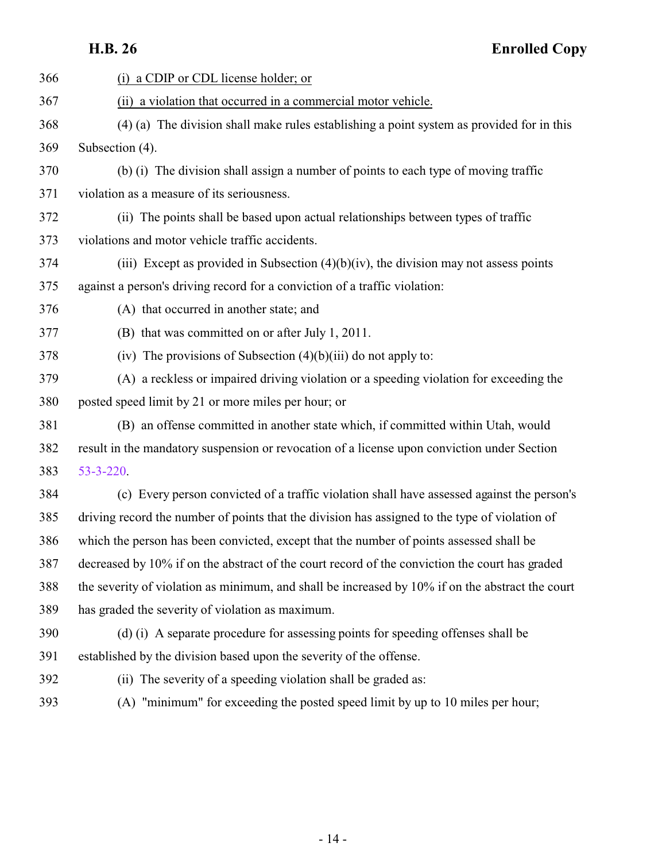| 366 | (i) a CDIP or CDL license holder; or                                                             |
|-----|--------------------------------------------------------------------------------------------------|
| 367 | (ii) a violation that occurred in a commercial motor vehicle.                                    |
| 368 | (4) (a) The division shall make rules establishing a point system as provided for in this        |
| 369 | Subsection (4).                                                                                  |
| 370 | (b) (i) The division shall assign a number of points to each type of moving traffic              |
| 371 | violation as a measure of its seriousness.                                                       |
| 372 | (ii) The points shall be based upon actual relationships between types of traffic                |
| 373 | violations and motor vehicle traffic accidents.                                                  |
| 374 | (iii) Except as provided in Subsection $(4)(b)(iv)$ , the division may not assess points         |
| 375 | against a person's driving record for a conviction of a traffic violation:                       |
| 376 | (A) that occurred in another state; and                                                          |
| 377 | (B) that was committed on or after July 1, 2011.                                                 |
| 378 | (iv) The provisions of Subsection $(4)(b)(iii)$ do not apply to:                                 |
| 379 | (A) a reckless or impaired driving violation or a speeding violation for exceeding the           |
| 380 | posted speed limit by 21 or more miles per hour; or                                              |
| 381 | (B) an offense committed in another state which, if committed within Utah, would                 |
| 382 | result in the mandatory suspension or revocation of a license upon conviction under Section      |
| 383 | $53 - 3 - 220$ .                                                                                 |
| 384 | (c) Every person convicted of a traffic violation shall have assessed against the person's       |
| 385 | driving record the number of points that the division has assigned to the type of violation of   |
| 386 | which the person has been convicted, except that the number of points assessed shall be          |
| 387 | decreased by 10% if on the abstract of the court record of the conviction the court has graded   |
| 388 | the severity of violation as minimum, and shall be increased by 10% if on the abstract the court |
| 389 | has graded the severity of violation as maximum.                                                 |
| 390 | (d) (i) A separate procedure for assessing points for speeding offenses shall be                 |
| 391 | established by the division based upon the severity of the offense.                              |
| 392 | The severity of a speeding violation shall be graded as:<br>(ii)                                 |
| 393 | (A) "minimum" for exceeding the posted speed limit by up to 10 miles per hour;                   |
|     |                                                                                                  |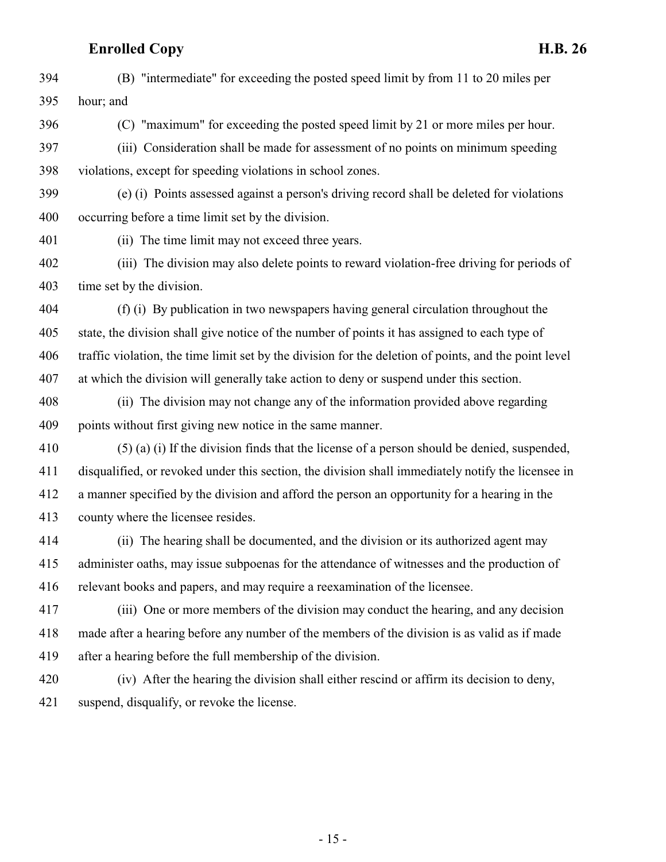(B) "intermediate" for exceeding the posted speed limit by from 11 to 20 miles per hour; and

(C) "maximum" for exceeding the posted speed limit by 21 or more miles per hour.

 (iii) Consideration shall be made for assessment of no points on minimum speeding violations, except for speeding violations in school zones.

 (e) (i) Points assessed against a person's driving record shall be deleted for violations occurring before a time limit set by the division.

(ii) The time limit may not exceed three years.

 (iii) The division may also delete points to reward violation-free driving for periods of time set by the division.

 (f) (i) By publication in two newspapers having general circulation throughout the state, the division shall give notice of the number of points it has assigned to each type of traffic violation, the time limit set by the division for the deletion of points, and the point level at which the division will generally take action to deny or suspend under this section.

 (ii) The division may not change any of the information provided above regarding points without first giving new notice in the same manner.

 (5) (a) (i) If the division finds that the license of a person should be denied, suspended, disqualified, or revoked under this section, the division shall immediately notify the licensee in a manner specified by the division and afford the person an opportunity for a hearing in the county where the licensee resides.

 (ii) The hearing shall be documented, and the division or its authorized agent may administer oaths, may issue subpoenas for the attendance of witnesses and the production of relevant books and papers, and may require a reexamination of the licensee.

 (iii) One or more members of the division may conduct the hearing, and any decision made after a hearing before any number of the members of the division is as valid as if made after a hearing before the full membership of the division.

 (iv) After the hearing the division shall either rescind or affirm its decision to deny, suspend, disqualify, or revoke the license.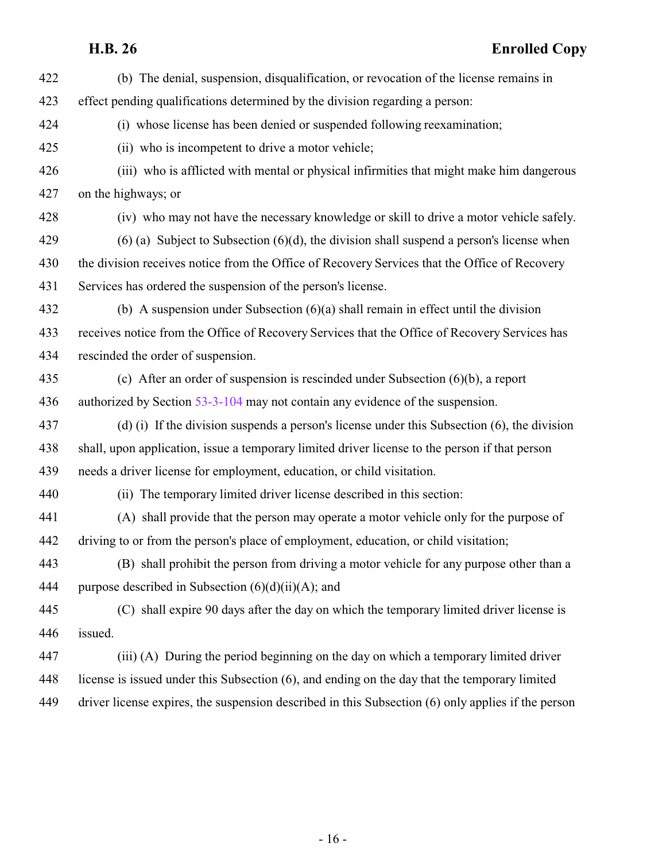| 422 | (b) The denial, suspension, disqualification, or revocation of the license remains in              |
|-----|----------------------------------------------------------------------------------------------------|
| 423 | effect pending qualifications determined by the division regarding a person:                       |
| 424 | (i) whose license has been denied or suspended following reexamination;                            |
| 425 | (ii) who is incompetent to drive a motor vehicle;                                                  |
| 426 | (iii) who is afflicted with mental or physical infirmities that might make him dangerous           |
| 427 | on the highways; or                                                                                |
| 428 | (iv) who may not have the necessary knowledge or skill to drive a motor vehicle safely.            |
| 429 | $(6)$ (a) Subject to Subsection $(6)(d)$ , the division shall suspend a person's license when      |
| 430 | the division receives notice from the Office of Recovery Services that the Office of Recovery      |
| 431 | Services has ordered the suspension of the person's license.                                       |
| 432 | (b) A suspension under Subsection $(6)(a)$ shall remain in effect until the division               |
| 433 | receives notice from the Office of Recovery Services that the Office of Recovery Services has      |
| 434 | rescinded the order of suspension.                                                                 |
| 435 | (c) After an order of suspension is rescinded under Subsection $(6)(b)$ , a report                 |
| 436 | authorized by Section 53-3-104 may not contain any evidence of the suspension.                     |
| 437 | (d) (i) If the division suspends a person's license under this Subsection $(6)$ , the division     |
| 438 | shall, upon application, issue a temporary limited driver license to the person if that person     |
| 439 | needs a driver license for employment, education, or child visitation.                             |
| 440 | (ii) The temporary limited driver license described in this section:                               |
| 441 | (A) shall provide that the person may operate a motor vehicle only for the purpose of              |
| 442 | driving to or from the person's place of employment, education, or child visitation;               |
| 443 | (B) shall prohibit the person from driving a motor vehicle for any purpose other than a            |
| 444 | purpose described in Subsection $(6)(d)(ii)(A)$ ; and                                              |
| 445 | (C) shall expire 90 days after the day on which the temporary limited driver license is            |
| 446 | issued.                                                                                            |
| 447 | (iii) (A) During the period beginning on the day on which a temporary limited driver               |
| 448 | license is issued under this Subsection (6), and ending on the day that the temporary limited      |
| 449 | driver license expires, the suspension described in this Subsection (6) only applies if the person |
|     |                                                                                                    |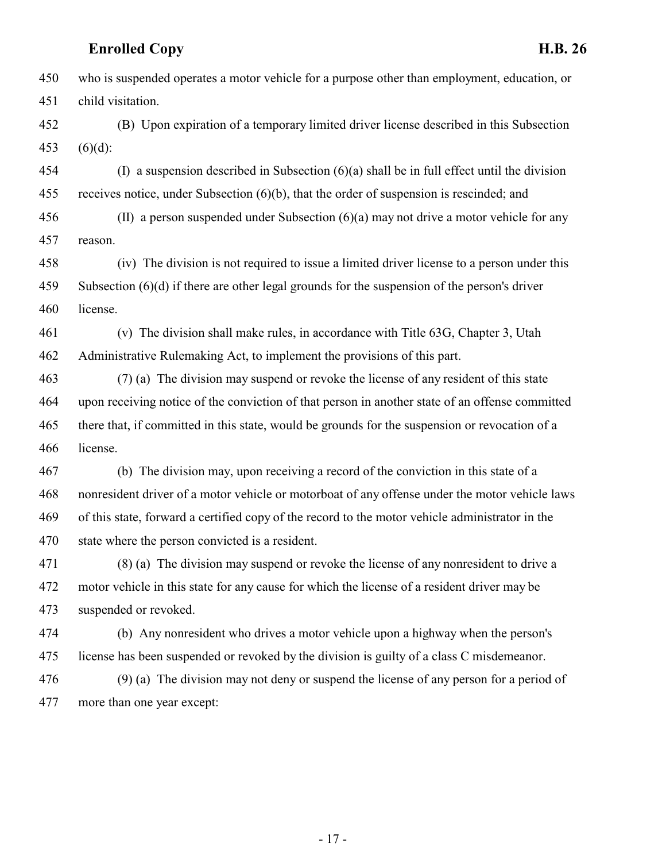who is suspended operates a motor vehicle for a purpose other than employment, education, or child visitation. (B) Upon expiration of a temporary limited driver license described in this Subsection (6)(d): (I) a suspension described in Subsection (6)(a) shall be in full effect until the division receives notice, under Subsection (6)(b), that the order of suspension is rescinded; and (II) a person suspended under Subsection (6)(a) may not drive a motor vehicle for any reason. (iv) The division is not required to issue a limited driver license to a person under this Subsection (6)(d) if there are other legal grounds for the suspension of the person's driver license. (v) The division shall make rules, in accordance with Title 63G, Chapter 3, Utah Administrative Rulemaking Act, to implement the provisions of this part. (7) (a) The division may suspend or revoke the license of any resident of this state upon receiving notice of the conviction of that person in another state of an offense committed there that, if committed in this state, would be grounds for the suspension or revocation of a license. (b) The division may, upon receiving a record of the conviction in this state of a nonresident driver of a motor vehicle or motorboat of any offense under the motor vehicle laws of this state, forward a certified copy of the record to the motor vehicle administrator in the state where the person convicted is a resident. (8) (a) The division may suspend or revoke the license of any nonresident to drive a motor vehicle in this state for any cause for which the license of a resident driver may be suspended or revoked. (b) Any nonresident who drives a motor vehicle upon a highway when the person's license has been suspended or revoked by the division is guilty of a class C misdemeanor. (9) (a) The division may not deny or suspend the license of any person for a period of more than one year except:

- 17 -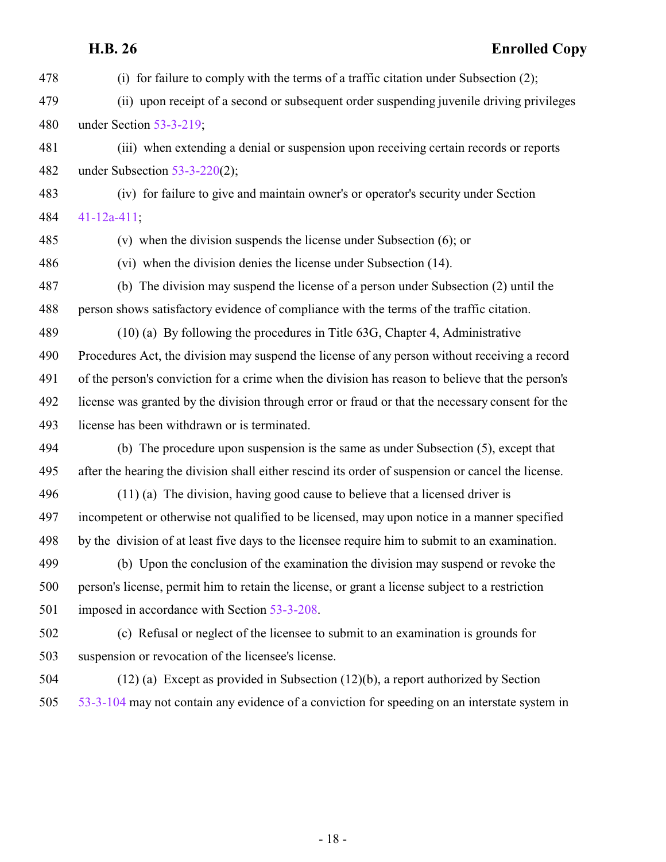(i) for failure to comply with the terms of a traffic citation under Subsection (2); (ii) upon receipt of a second or subsequent order suspending juvenile driving privileges under Section [53-3-219](http://le.utah.gov/UtahCode/SectionLookup.jsp?section=53-3-219&session=2015GS); (iii) when extending a denial or suspension upon receiving certain records or reports under Subsection [53-3-220](http://le.utah.gov/UtahCode/SectionLookup.jsp?section=53-3-220&session=2015GS)(2); (iv) for failure to give and maintain owner's or operator's security under Section [41-12a-411](http://le.utah.gov/UtahCode/SectionLookup.jsp?section=41-12a-411&session=2015GS); (v) when the division suspends the license under Subsection (6); or (vi) when the division denies the license under Subsection (14). (b) The division may suspend the license of a person under Subsection (2) until the person shows satisfactory evidence of compliance with the terms of the traffic citation. (10) (a) By following the procedures in Title 63G, Chapter 4, Administrative Procedures Act, the division may suspend the license of any person without receiving a record of the person's conviction for a crime when the division has reason to believe that the person's license was granted by the division through error or fraud or that the necessary consent for the license has been withdrawn or is terminated. (b) The procedure upon suspension is the same as under Subsection (5), except that after the hearing the division shall either rescind its order of suspension or cancel the license. (11) (a) The division, having good cause to believe that a licensed driver is incompetent or otherwise not qualified to be licensed, may upon notice in a manner specified by the division of at least five days to the licensee require him to submit to an examination. (b) Upon the conclusion of the examination the division may suspend or revoke the person's license, permit him to retain the license, or grant a license subject to a restriction imposed in accordance with Section [53-3-208](http://le.utah.gov/UtahCode/SectionLookup.jsp?section=53-3-208&session=2015GS). (c) Refusal or neglect of the licensee to submit to an examination is grounds for suspension or revocation of the licensee's license. (12) (a) Except as provided in Subsection (12)(b), a report authorized by Section [53-3-104](http://le.utah.gov/UtahCode/SectionLookup.jsp?section=53-3-104&session=2015GS) may not contain any evidence of a conviction for speeding on an interstate system in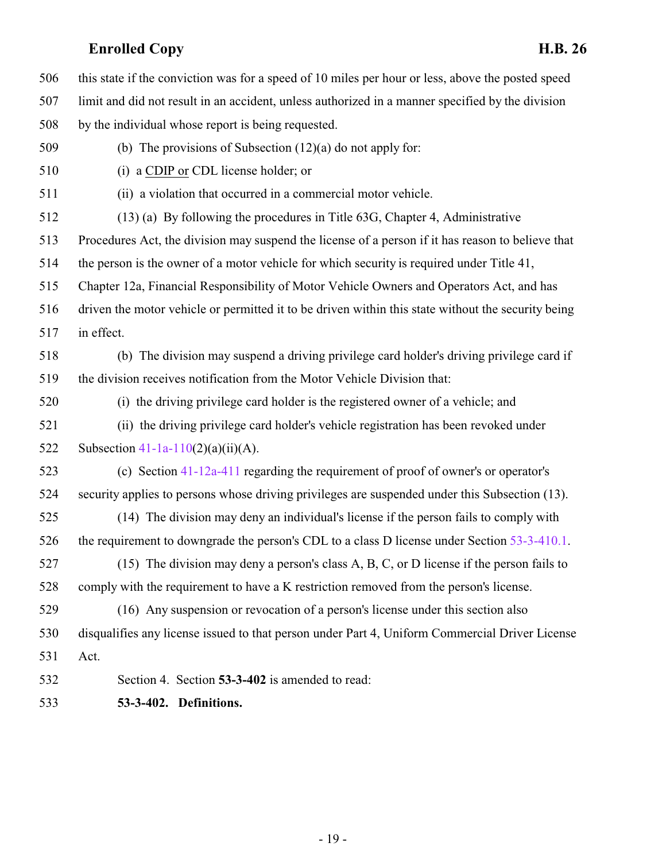this state if the conviction was for a speed of 10 miles per hour or less, above the posted speed limit and did not result in an accident, unless authorized in a manner specified by the division by the individual whose report is being requested.

- (b) The provisions of Subsection (12)(a) do not apply for:
- (i) a CDIP or CDL license holder; or
- (ii) a violation that occurred in a commercial motor vehicle.
- (13) (a) By following the procedures in Title 63G, Chapter 4, Administrative
- Procedures Act, the division may suspend the license of a person if it has reason to believe that
- the person is the owner of a motor vehicle for which security is required under Title 41,
- Chapter 12a, Financial Responsibility of Motor Vehicle Owners and Operators Act, and has
- driven the motor vehicle or permitted it to be driven within this state without the security being in effect.
- (b) The division may suspend a driving privilege card holder's driving privilege card if the division receives notification from the Motor Vehicle Division that:
- (i) the driving privilege card holder is the registered owner of a vehicle; and
- (ii) the driving privilege card holder's vehicle registration has been revoked under 522 Subsection  $41-1a-110(2)(a)(ii)(A)$ .
- (c) Section [41-12a-411](http://le.utah.gov/UtahCode/SectionLookup.jsp?section=41-12a-411&session=2015GS) regarding the requirement of proof of owner's or operator's security applies to persons whose driving privileges are suspended under this Subsection (13).
- (14) The division may deny an individual's license if the person fails to comply with 526 the requirement to downgrade the person's CDL to a class D license under Section [53-3-410.1](#page-22-0).
- (15) The division may deny a person's class A, B, C, or D license if the person fails to comply with the requirement to have a K restriction removed from the person's license.
- (16) Any suspension or revocation of a person's license under this section also disqualifies any license issued to that person under Part 4, Uniform Commercial Driver License Act.
- <span id="page-18-0"></span>Section 4. Section **53-3-402** is amended to read:
- **53-3-402. Definitions.**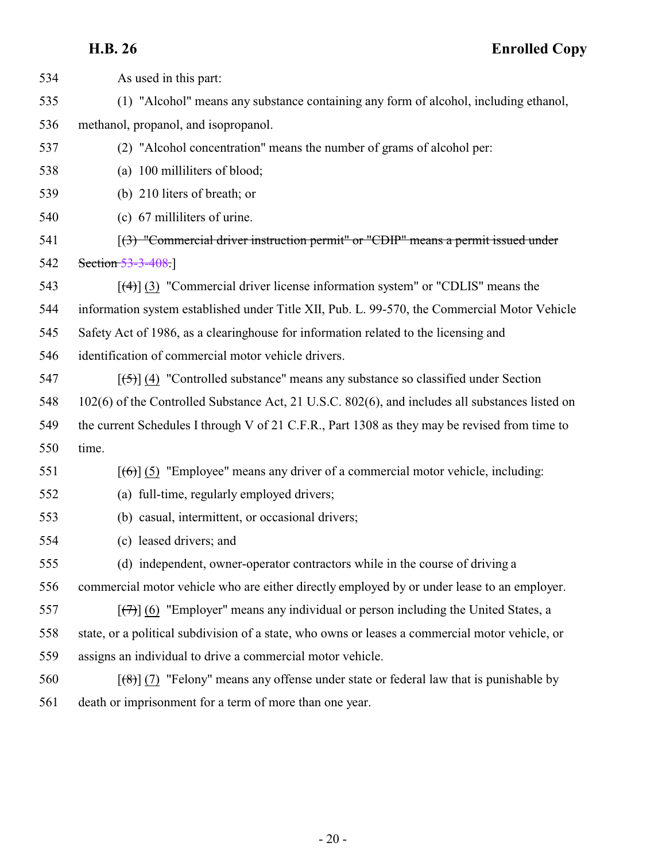| 534 | As used in this part:                                                                                         |
|-----|---------------------------------------------------------------------------------------------------------------|
| 535 | (1) "Alcohol" means any substance containing any form of alcohol, including ethanol,                          |
| 536 | methanol, propanol, and isopropanol.                                                                          |
| 537 | (2) "Alcohol concentration" means the number of grams of alcohol per:                                         |
| 538 | (a) 100 milliliters of blood;                                                                                 |
| 539 | (b) 210 liters of breath; or                                                                                  |
| 540 | (c) 67 milliliters of urine.                                                                                  |
| 541 | [(3) "Commercial driver instruction permit" or "CDIP" means a permit issued under                             |
| 542 | Section 53-3-408.                                                                                             |
| 543 | $[$ (4)] (3) "Commercial driver license information system" or "CDLIS" means the                              |
| 544 | information system established under Title XII, Pub. L. 99-570, the Commercial Motor Vehicle                  |
| 545 | Safety Act of 1986, as a clearinghouse for information related to the licensing and                           |
| 546 | identification of commercial motor vehicle drivers.                                                           |
| 547 | $[5]$ (4) "Controlled substance" means any substance so classified under Section                              |
| 548 | 102(6) of the Controlled Substance Act, 21 U.S.C. 802(6), and includes all substances listed on               |
| 549 | the current Schedules I through V of 21 C.F.R., Part 1308 as they may be revised from time to                 |
| 550 | time.                                                                                                         |
| 551 | $[66]$ (5) "Employee" means any driver of a commercial motor vehicle, including:                              |
| 552 | (a) full-time, regularly employed drivers;                                                                    |
| 553 | (b) casual, intermittent, or occasional drivers;                                                              |
| 554 | (c) leased drivers; and                                                                                       |
| 555 | (d) independent, owner-operator contractors while in the course of driving a                                  |
| 556 | commercial motor vehicle who are either directly employed by or under lease to an employer.                   |
| 557 | $[\overline{(+)}]$ (6) "Employer" means any individual or person including the United States, a               |
| 558 | state, or a political subdivision of a state, who owns or leases a commercial motor vehicle, or               |
| 559 | assigns an individual to drive a commercial motor vehicle.                                                    |
| 560 | $\left[\frac{1}{2}\left(7\right)$ "Felony" means any offense under state or federal law that is punishable by |
| 561 | death or imprisonment for a term of more than one year.                                                       |
|     |                                                                                                               |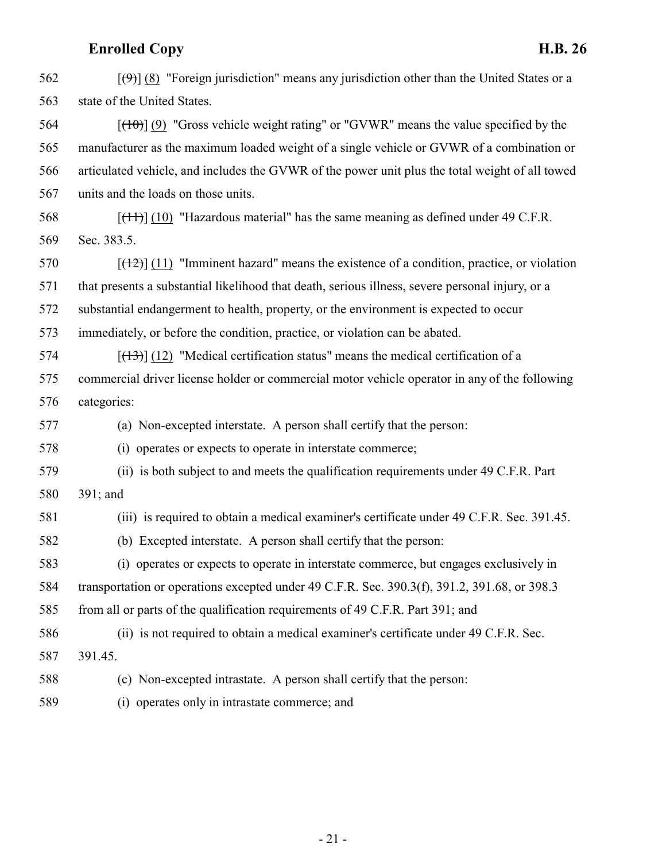| 562 | $[\langle 9 \rangle]$ (8) "Foreign jurisdiction" means any jurisdiction other than the United States or a |
|-----|-----------------------------------------------------------------------------------------------------------|
| 563 | state of the United States.                                                                               |
| 564 | $[$ (40)] (9) "Gross vehicle weight rating" or "GVWR" means the value specified by the                    |
| 565 | manufacturer as the maximum loaded weight of a single vehicle or GVWR of a combination or                 |
| 566 | articulated vehicle, and includes the GVWR of the power unit plus the total weight of all towed           |
| 567 | units and the loads on those units.                                                                       |
| 568 | $[$ ( $[$ ++ $]$ ) $[$ (10) "Hazardous material" has the same meaning as defined under 49 C.F.R.          |
| 569 | Sec. 383.5.                                                                                               |
| 570 | $[$ (12) $]$ (11) "Imminent hazard" means the existence of a condition, practice, or violation            |
| 571 | that presents a substantial likelihood that death, serious illness, severe personal injury, or a          |
| 572 | substantial endangerment to health, property, or the environment is expected to occur                     |
| 573 | immediately, or before the condition, practice, or violation can be abated.                               |
| 574 | $[$ (13) $]$ (12) "Medical certification status" means the medical certification of a                     |
| 575 | commercial driver license holder or commercial motor vehicle operator in any of the following             |
| 576 | categories:                                                                                               |
| 577 | (a) Non-excepted interstate. A person shall certify that the person:                                      |
| 578 | (i) operates or expects to operate in interstate commerce;                                                |
| 579 | (ii) is both subject to and meets the qualification requirements under 49 C.F.R. Part                     |
| 580 | 391; and                                                                                                  |
| 581 | (iii) is required to obtain a medical examiner's certificate under 49 C.F.R. Sec. 391.45.                 |
| 582 | (b) Excepted interstate. A person shall certify that the person:                                          |
| 583 | (i) operates or expects to operate in interstate commerce, but engages exclusively in                     |
| 584 | transportation or operations excepted under 49 C.F.R. Sec. 390.3(f), 391.2, 391.68, or 398.3              |
| 585 | from all or parts of the qualification requirements of 49 C.F.R. Part 391; and                            |
| 586 | (ii) is not required to obtain a medical examiner's certificate under 49 C.F.R. Sec.                      |
| 587 | 391.45.                                                                                                   |
| 588 | (c) Non-excepted intrastate. A person shall certify that the person:                                      |
| 589 |                                                                                                           |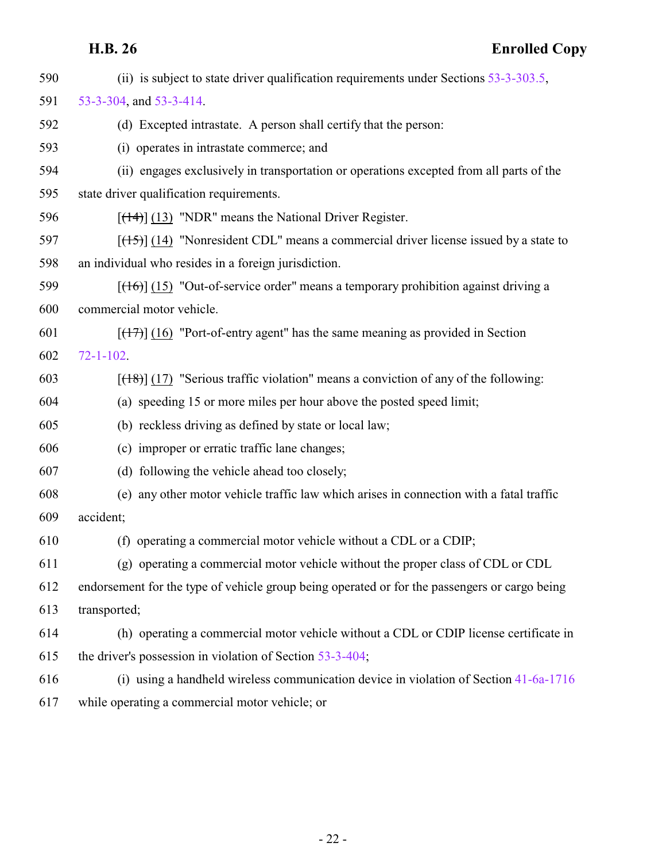| 590 | (ii) is subject to state driver qualification requirements under Sections $53-3-303.5$ ,      |
|-----|-----------------------------------------------------------------------------------------------|
| 591 | 53-3-304, and 53-3-414.                                                                       |
| 592 | (d) Excepted intrastate. A person shall certify that the person:                              |
| 593 | (i) operates in intrastate commerce; and                                                      |
| 594 | (ii) engages exclusively in transportation or operations excepted from all parts of the       |
| 595 | state driver qualification requirements.                                                      |
| 596 | $[$ (14+)] (13) "NDR" means the National Driver Register.                                     |
| 597 | $[ (15) ]$ (14) "Nonresident CDL" means a commercial driver license issued by a state to      |
| 598 | an individual who resides in a foreign jurisdiction.                                          |
| 599 | $[ (16) ]$ (15) "Out-of-service order" means a temporary prohibition against driving a        |
| 600 | commercial motor vehicle.                                                                     |
| 601 | $[ (17) ]$ (16) "Port-of-entry agent" has the same meaning as provided in Section             |
| 602 | $72 - 1 - 102$ .                                                                              |
| 603 | $[ (18) ]$ (17) "Serious traffic violation" means a conviction of any of the following:       |
| 604 | (a) speeding 15 or more miles per hour above the posted speed limit;                          |
| 605 | (b) reckless driving as defined by state or local law;                                        |
| 606 | (c) improper or erratic traffic lane changes;                                                 |
| 607 | (d) following the vehicle ahead too closely;                                                  |
| 608 | (e) any other motor vehicle traffic law which arises in connection with a fatal traffic       |
| 609 | accident;                                                                                     |
| 610 | (f) operating a commercial motor vehicle without a CDL or a CDIP;                             |
| 611 | (g) operating a commercial motor vehicle without the proper class of CDL or CDL               |
| 612 | endorsement for the type of vehicle group being operated or for the passengers or cargo being |
| 613 | transported;                                                                                  |
| 614 | (h) operating a commercial motor vehicle without a CDL or CDIP license certificate in         |
| 615 | the driver's possession in violation of Section 53-3-404;                                     |
| 616 | (i) using a handheld wireless communication device in violation of Section 41-6a-1716         |
| 617 | while operating a commercial motor vehicle; or                                                |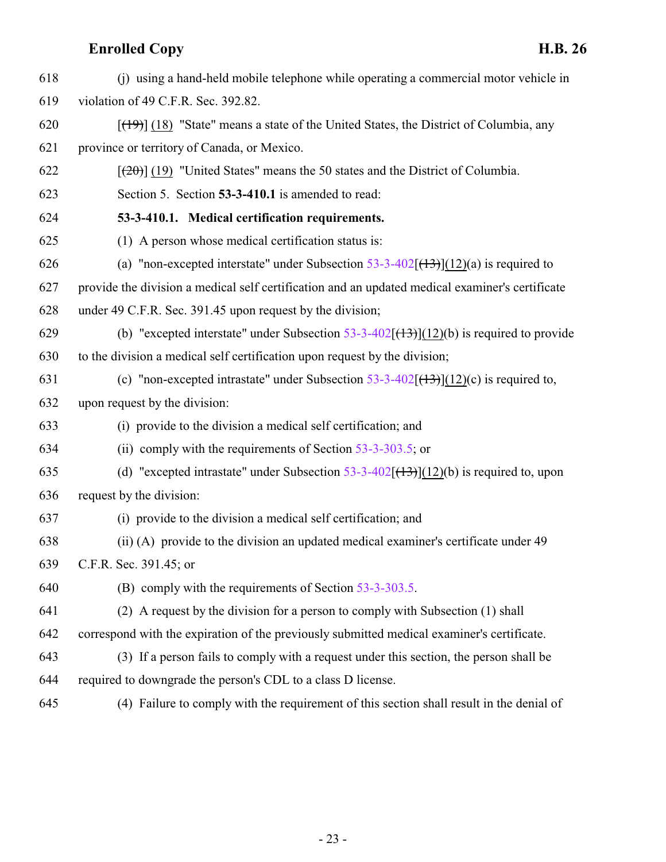<span id="page-22-0"></span>

| 618 | (i) using a hand-held mobile telephone while operating a commercial motor vehicle in            |
|-----|-------------------------------------------------------------------------------------------------|
| 619 | violation of 49 C.F.R. Sec. 392.82.                                                             |
| 620 | $[({19})]$ (18) "State" means a state of the United States, the District of Columbia, any       |
| 621 | province or territory of Canada, or Mexico.                                                     |
| 622 | $[\frac{(20)}{(19)}]$ (19) "United States" means the 50 states and the District of Columbia.    |
| 623 | Section 5. Section 53-3-410.1 is amended to read:                                               |
| 624 | 53-3-410.1. Medical certification requirements.                                                 |
| 625 | (1) A person whose medical certification status is:                                             |
| 626 | (a) "non-excepted interstate" under Subsection $53-3-402$ ( $(13)$ )(12)(a) is required to      |
| 627 | provide the division a medical self certification and an updated medical examiner's certificate |
| 628 | under 49 C.F.R. Sec. 391.45 upon request by the division;                                       |
| 629 | (b) "excepted interstate" under Subsection 53-3-402 $[(13)](12)(b)$ is required to provide      |
| 630 | to the division a medical self certification upon request by the division;                      |
| 631 | (c) "non-excepted intrastate" under Subsection $53-3-402$ ( $(13)$ )(12)(c) is required to,     |
| 632 | upon request by the division:                                                                   |
| 633 | (i) provide to the division a medical self certification; and                                   |
| 634 | (ii) comply with the requirements of Section $53-3-303.5$ ; or                                  |
| 635 | (d) "excepted intrastate" under Subsection 53-3-402 $[(13)](12)(b)$ is required to, upon        |
| 636 | request by the division:                                                                        |
| 637 | (i) provide to the division a medical self certification; and                                   |
| 638 | (ii) (A) provide to the division an updated medical examiner's certificate under 49             |
| 639 | C.F.R. Sec. 391.45; or                                                                          |
| 640 | (B) comply with the requirements of Section 53-3-303.5.                                         |
| 641 | (2) A request by the division for a person to comply with Subsection (1) shall                  |
| 642 | correspond with the expiration of the previously submitted medical examiner's certificate.      |
| 643 | (3) If a person fails to comply with a request under this section, the person shall be          |
| 644 | required to downgrade the person's CDL to a class D license.                                    |
| 645 | (4) Failure to comply with the requirement of this section shall result in the denial of        |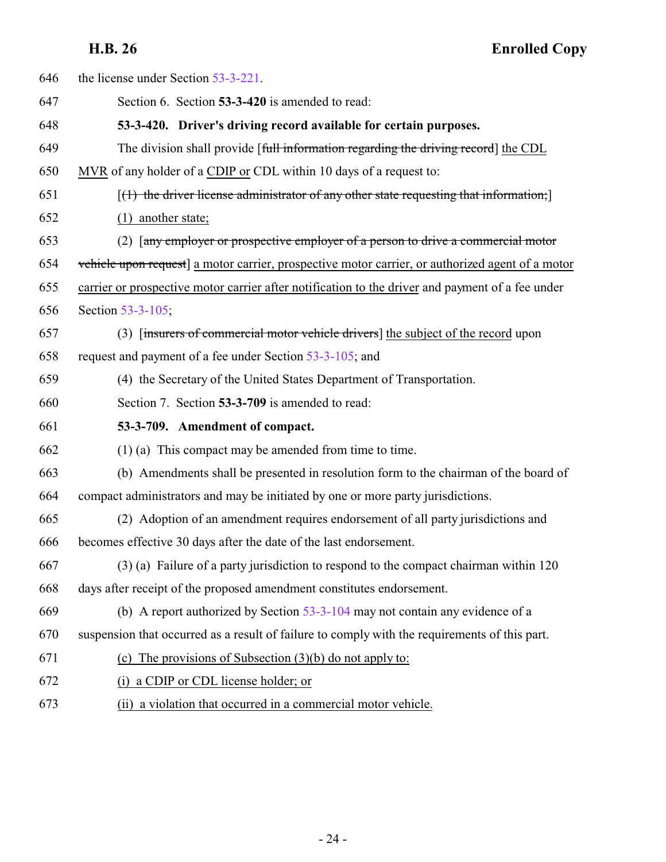<span id="page-23-1"></span><span id="page-23-0"></span>

| 646 | the license under Section 53-3-221.                                                              |
|-----|--------------------------------------------------------------------------------------------------|
| 647 | Section 6. Section 53-3-420 is amended to read:                                                  |
| 648 | 53-3-420. Driver's driving record available for certain purposes.                                |
| 649 | The division shall provide [full information regarding the driving record] the CDL               |
| 650 | MVR of any holder of a CDIP or CDL within 10 days of a request to:                               |
| 651 | $[(1)$ the driver license administrator of any other state requesting that information;          |
| 652 | $(1)$ another state;                                                                             |
| 653 | (2) [any employer or prospective employer of a person to drive a commercial motor                |
| 654 | vehicle upon request] a motor carrier, prospective motor carrier, or authorized agent of a motor |
| 655 | carrier or prospective motor carrier after notification to the driver and payment of a fee under |
| 656 | Section 53-3-105;                                                                                |
| 657 | (3) [insurers of commercial motor vehicle drivers] the subject of the record upon                |
| 658 | request and payment of a fee under Section 53-3-105; and                                         |
| 659 | (4) the Secretary of the United States Department of Transportation.                             |
| 660 | Section 7. Section 53-3-709 is amended to read:                                                  |
| 661 | 53-3-709. Amendment of compact.                                                                  |
| 662 | $(1)$ (a) This compact may be amended from time to time.                                         |
| 663 | (b) Amendments shall be presented in resolution form to the chairman of the board of             |
| 664 | compact administrators and may be initiated by one or more party jurisdictions.                  |
| 665 | (2) Adoption of an amendment requires endorsement of all party jurisdictions and                 |
| 666 | becomes effective 30 days after the date of the last endorsement.                                |
| 667 | (3) (a) Failure of a party jurisdiction to respond to the compact chairman within 120            |
| 668 | days after receipt of the proposed amendment constitutes endorsement.                            |
| 669 | (b) A report authorized by Section 53-3-104 may not contain any evidence of a                    |
| 670 | suspension that occurred as a result of failure to comply with the requirements of this part.    |
| 671 |                                                                                                  |
|     | (c) The provisions of Subsection $(3)(b)$ do not apply to:                                       |
| 672 | (i) a CDIP or CDL license holder; or                                                             |